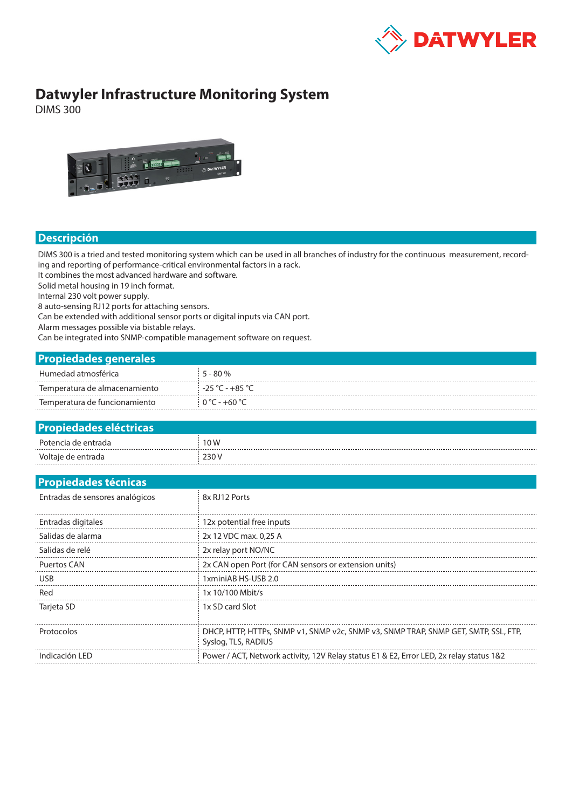

## **Datwyler Infrastructure Monitoring System**

DIMS 300



## **Descripción**

DIMS 300 is a tried and tested monitoring system which can be used in all branches of industry for the continuous measurement, recording and reporting of performance-critical environmental factors in a rack.

It combines the most advanced hardware and software.

Solid metal housing in 19 inch format.

Internal 230 volt power supply.

8 auto-sensing RJ12 ports for attaching sensors.

Can be extended with additional sensor ports or digital inputs via CAN port.

Alarm messages possible via bistable relays.

Can be integrated into SNMP-compatible management software on request.

| <b>Propiedades generales</b>  |                                         |
|-------------------------------|-----------------------------------------|
| Humedad atmosférica           | $5 - 80%$                               |
| Temperatura de almacenamiento | -25 °C - +85 °C                         |
| Temperatura de funcionamiento | $0^{\circ}$ C - +60 $^{\circ}$ C $^{-}$ |

| <b>Propiedades eléctricas</b> |       |
|-------------------------------|-------|
| Potencia de entrada           | 10W   |
| Voltaje de entrada            | 230 V |

| <b>Propiedades técnicas</b>     |                                                                                                            |  |  |  |
|---------------------------------|------------------------------------------------------------------------------------------------------------|--|--|--|
| Entradas de sensores analógicos | 8x RJ12 Ports                                                                                              |  |  |  |
| Entradas digitales              | 12x potential free inputs                                                                                  |  |  |  |
| Salidas de alarma               | 2x 12 VDC max. 0,25 A                                                                                      |  |  |  |
| Salidas de relé                 | 2x relay port NO/NC                                                                                        |  |  |  |
| Puertos CAN                     | 2x CAN open Port (for CAN sensors or extension units)                                                      |  |  |  |
| <b>USB</b>                      | 1xminiAB HS-USB 2.0                                                                                        |  |  |  |
| Red                             | 1x 10/100 Mbit/s                                                                                           |  |  |  |
| Tarjeta SD                      | 1x SD card Slot                                                                                            |  |  |  |
| Protocolos                      | DHCP, HTTP, HTTPs, SNMP v1, SNMP v2c, SNMP v3, SNMP TRAP, SNMP GET, SMTP, SSL, FTP,<br>Syslog, TLS, RADIUS |  |  |  |
| Indicación LED                  | Power / ACT, Network activity, 12V Relay status E1 & E2, Error LED, 2x relay status 1&2                    |  |  |  |